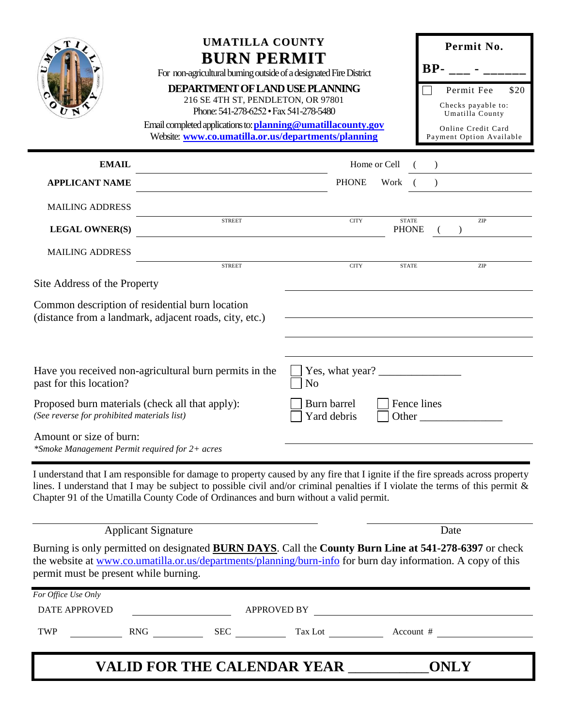|                                                                                                                                                                                                        | <b>UMATILLA COUNTY</b><br><b>BURN PERMIT</b><br>For non-agricultural burning outside of a designated Fire District<br>DEPARTMENT OF LAND USE PLANNING<br>216 SE 4TH ST, PENDLETON, OR 97801<br>Phone: 541-278-6252 · Fax 541-278-5480<br>Email completed applications to: planning@umatillacounty.gov<br>Website: www.co.umatilla.or.us/departments/planning                                                                                                                                                                                                                                                            |                                                                                                                                                                                                                                                                                                                                                                                                                                                                                          |                              | Permit No.<br>$BP-$<br>Permit Fee<br>\$20<br>Checks payable to:<br>Umatilla County<br>Online Credit Card<br>Payment Option Available |
|--------------------------------------------------------------------------------------------------------------------------------------------------------------------------------------------------------|-------------------------------------------------------------------------------------------------------------------------------------------------------------------------------------------------------------------------------------------------------------------------------------------------------------------------------------------------------------------------------------------------------------------------------------------------------------------------------------------------------------------------------------------------------------------------------------------------------------------------|------------------------------------------------------------------------------------------------------------------------------------------------------------------------------------------------------------------------------------------------------------------------------------------------------------------------------------------------------------------------------------------------------------------------------------------------------------------------------------------|------------------------------|--------------------------------------------------------------------------------------------------------------------------------------|
| <b>EMAIL</b>                                                                                                                                                                                           |                                                                                                                                                                                                                                                                                                                                                                                                                                                                                                                                                                                                                         | Home or Cell                                                                                                                                                                                                                                                                                                                                                                                                                                                                             |                              |                                                                                                                                      |
| <b>APPLICANT NAME</b>                                                                                                                                                                                  |                                                                                                                                                                                                                                                                                                                                                                                                                                                                                                                                                                                                                         | <b>PHONE</b>                                                                                                                                                                                                                                                                                                                                                                                                                                                                             | Work (                       |                                                                                                                                      |
| <b>MAILING ADDRESS</b>                                                                                                                                                                                 |                                                                                                                                                                                                                                                                                                                                                                                                                                                                                                                                                                                                                         |                                                                                                                                                                                                                                                                                                                                                                                                                                                                                          |                              |                                                                                                                                      |
| <b>LEGAL OWNER(S)</b>                                                                                                                                                                                  | <b>STREET</b><br><u> 1989 - John Stein, Amerikaansk politiker (</u>                                                                                                                                                                                                                                                                                                                                                                                                                                                                                                                                                     | <b>CITY</b>                                                                                                                                                                                                                                                                                                                                                                                                                                                                              | <b>STATE</b><br><b>PHONE</b> | ZIP                                                                                                                                  |
| <b>MAILING ADDRESS</b>                                                                                                                                                                                 |                                                                                                                                                                                                                                                                                                                                                                                                                                                                                                                                                                                                                         |                                                                                                                                                                                                                                                                                                                                                                                                                                                                                          |                              |                                                                                                                                      |
| Site Address of the Property                                                                                                                                                                           | <b>STREET</b>                                                                                                                                                                                                                                                                                                                                                                                                                                                                                                                                                                                                           | <b>CITY</b>                                                                                                                                                                                                                                                                                                                                                                                                                                                                              | <b>STATE</b>                 | ZIP                                                                                                                                  |
| past for this location?<br>Proposed burn materials (check all that apply):<br>(See reverse for prohibited materials list)<br>Amount or size of burn:<br>*Smoke Management Permit required for 2+ acres | Common description of residential burn location<br>(distance from a landmark, adjacent roads, city, etc.)<br>Have you received non-agricultural burn permits in the                                                                                                                                                                                                                                                                                                                                                                                                                                                     | Yes, what year? $\frac{1}{\sqrt{1-\frac{1}{2}} \cdot \frac{1}{\sqrt{1-\frac{1}{2}} \cdot \frac{1}{\sqrt{1-\frac{1}{2}} \cdot \frac{1}{\sqrt{1-\frac{1}{2}} \cdot \frac{1}{\sqrt{1-\frac{1}{2}} \cdot \frac{1}{\sqrt{1-\frac{1}{2}} \cdot \frac{1}{\sqrt{1-\frac{1}{2}} \cdot \frac{1}{\sqrt{1-\frac{1}{2}} \cdot \frac{1}{\sqrt{1-\frac{1}{2}} \cdot \frac{1}{\sqrt{1-\frac{1}{2}} \cdot \frac{1}{\sqrt{1-\frac{1}{2}} \cdot \frac{1}{\$<br>N <sub>o</sub><br>Burn barrel<br>Yard debris | Fence lines                  |                                                                                                                                      |
| permit must be present while burning.                                                                                                                                                                  | I understand that I am responsible for damage to property caused by any fire that I ignite if the fire spreads across property<br>lines. I understand that I may be subject to possible civil and/or criminal penalties if I violate the terms of this permit &<br>Chapter 91 of the Umatilla County Code of Ordinances and burn without a valid permit.<br><b>Applicant Signature</b><br>Burning is only permitted on designated <b>BURN DAYS</b> . Call the County Burn Line at 541-278-6397 or check<br>the website at www.co.umatilla.or.us/departments/planning/burn-info for burn day information. A copy of this |                                                                                                                                                                                                                                                                                                                                                                                                                                                                                          |                              | Date                                                                                                                                 |
| For Office Use Only                                                                                                                                                                                    |                                                                                                                                                                                                                                                                                                                                                                                                                                                                                                                                                                                                                         |                                                                                                                                                                                                                                                                                                                                                                                                                                                                                          |                              |                                                                                                                                      |
| <b>DATE APPROVED</b>                                                                                                                                                                                   |                                                                                                                                                                                                                                                                                                                                                                                                                                                                                                                                                                                                                         | APPROVED BY                                                                                                                                                                                                                                                                                                                                                                                                                                                                              |                              |                                                                                                                                      |
| TWP                                                                                                                                                                                                    | RNG  SEC  Tax Lot  Count #                                                                                                                                                                                                                                                                                                                                                                                                                                                                                                                                                                                              |                                                                                                                                                                                                                                                                                                                                                                                                                                                                                          |                              |                                                                                                                                      |
|                                                                                                                                                                                                        | <b>VALID FOR THE CALENDAR YEAR ___</b>                                                                                                                                                                                                                                                                                                                                                                                                                                                                                                                                                                                  |                                                                                                                                                                                                                                                                                                                                                                                                                                                                                          |                              | <b>ONLY</b>                                                                                                                          |